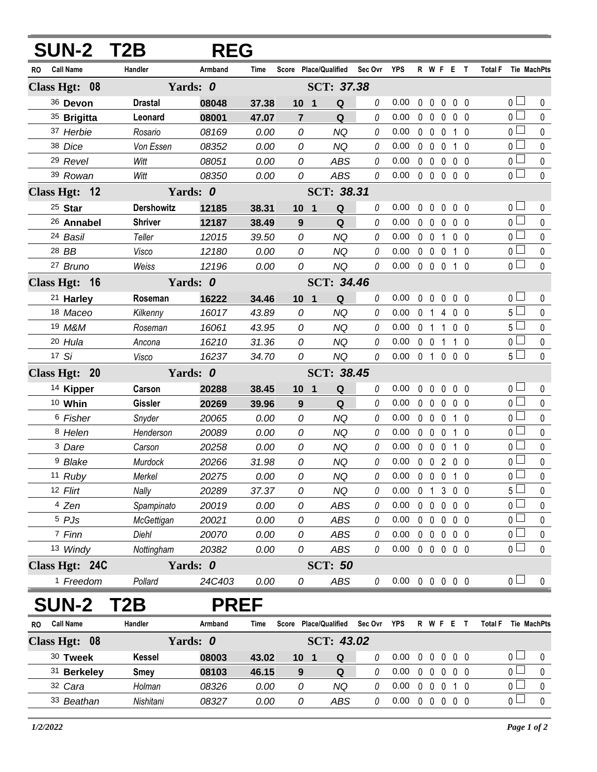| <b>SUN-2 T2B</b>        |                   | <b>REG</b>  |                   |                       |                |          |                            |              |                                 |                |                   |                |                |                     |             |
|-------------------------|-------------------|-------------|-------------------|-----------------------|----------------|----------|----------------------------|--------------|---------------------------------|----------------|-------------------|----------------|----------------|---------------------|-------------|
| <b>Call Name</b><br>RO. | Handler           | Armband     | <b>Time</b>       | Score Place/Qualified |                | Sec Ovr  | <b>YPS</b>                 |              | R W F E T                       |                |                   |                | <b>Total F</b> | Tie MachPts         |             |
| Class Hgt: 08           |                   | Yards: 0    | SCT: 37.38        |                       |                |          |                            |              |                                 |                |                   |                |                |                     |             |
| 36 Devon                | <b>Drastal</b>    | 08048       | 37.38             | 10 <sub>1</sub>       | Q              | 0        | 0.00                       | 0            | 0                               | 0              | 0 <sub>0</sub>    |                |                | $0-$                | 0           |
| 35 Brigitta             | Leonard           | 08001       | 47.07             | $\overline{7}$        | Q              | 0        | 0.00                       |              | $0\quad 0$                      | 0              |                   | $0\quad 0$     |                | 0 <sub>1</sub>      | $\mathbf 0$ |
| 37 Herbie               | Rosario           | 08169       | 0.00              | 0                     | <b>NQ</b>      | 0        | 0.00                       |              | $0\quad 0$                      | 0              |                   | 1 <sub>0</sub> |                | 0 l                 | $\mathbf 0$ |
| 38 Dice                 | Von Essen         | 08352       | 0.00              | 0                     | <b>NQ</b>      | 0        | 0.00                       |              | $0\quad 0$                      | 0              |                   | 1 0            |                | 0 <sub>l</sub>      | 0           |
| <sup>29</sup> Revel     | Witt              | 08051       | 0.00              | 0                     | <b>ABS</b>     | 0        | 0.00                       |              | $0\quad 0$                      | $\mathbf 0$    |                   | 0 <sub>0</sub> |                | 0 l                 | $\mathbf 0$ |
| 39 Rowan                | Witt              | 08350       | 0.00              | 0                     | <b>ABS</b>     | 0        | 0.00                       |              | $0\quad 0$                      | $\mathbf 0$    | 0 <sub>0</sub>    |                |                | $\overline{0}$      | $\mathbf 0$ |
| Class Hgt: 12           |                   | Yards: 0    |                   |                       | SCT: 38.31     |          |                            |              |                                 |                |                   |                |                |                     |             |
| 25 Star                 | <b>Dershowitz</b> | 12185       | 38.31             | $10 \quad 1$          | $\mathbf Q$    | 0        | 0.00                       | $\mathbf{0}$ | $\Omega$                        | $\mathbf{0}$   |                   | 0 <sub>0</sub> |                | 0 l                 | 0           |
| 26 Annabel              | <b>Shriver</b>    | 12187       | 38.49             | 9                     | Q              | 0        | 0.00                       |              | $0\quad 0$                      | 0              |                   | 0 <sub>0</sub> |                | $\overline{0}$      | $\pmb{0}$   |
| 24 Basil                | Teller            | 12015       | 39.50             | 0                     | <b>NQ</b>      | $\theta$ | 0.00                       |              | $0\quad 0$                      | $\overline{1}$ |                   | 0 <sub>0</sub> |                | 0 l                 | $\pmb{0}$   |
| 28 BB                   | Visco             | 12180       | 0.00              | 0                     | <b>NQ</b>      | 0        | 0.00                       |              | $0\quad 0$                      | 0              |                   | $1\quad0$      |                | 0 <sup>1</sup>      | 0           |
| 27 Bruno                | Weiss             | 12196       | 0.00              | 0                     | <b>NQ</b>      | $\theta$ | 0.00                       |              | $0\quad 0\quad 0$               |                | $1\quad0$         |                |                | 0 <sup>1</sup>      | $\mathbf 0$ |
| Class Hgt: 16           |                   | Yards: 0    | <b>SCT: 34.46</b> |                       |                |          |                            |              |                                 |                |                   |                |                |                     |             |
| <sup>21</sup> Harley    | Roseman           | 16222       | 34.46             | 10 <sub>1</sub>       | Q              | 0        | 0.00                       | $\mathbf{0}$ | $\Omega$                        | 0              |                   | 0 <sub>0</sub> |                | 0 <sub>0</sub>      | 0           |
| 18 Maceo                | Kilkenny          | 16017       | 43.89             | 0                     | <b>NQ</b>      | 0        | 0.00                       | $\mathbf 0$  | $\overline{1}$                  | 4              |                   | 0 <sub>0</sub> |                | 5 <sup>1</sup>      | $\mathbf 0$ |
| 19 M&M                  | Roseman           | 16061       | 43.95             | 0                     | <b>NQ</b>      | 0        | 0.00                       |              | 0 <sub>1</sub>                  | $\mathbf{1}$   | $0\quad 0$        |                |                | 5 <sub>1</sub>      | $\pmb{0}$   |
| 20 Hula                 | Ancona            | 16210       | 31.36             | 0                     | <b>NQ</b>      | 0        | 0.00                       |              | $0\quad 0$                      | $\overline{1}$ |                   | $1\quad0$      |                | 0 l                 | $\pmb{0}$   |
| 17 Si                   | Visco             | 16237       | 34.70             | 0                     | <b>NQ</b>      | 0        | 0.00                       |              | 0 <sub>1</sub>                  |                | $0\quad 0\quad 0$ |                |                | $5\Box$             | $\mathbf 0$ |
| Class Hgt: 20           |                   | Yards: 0    |                   |                       | SCT: 38.45     |          |                            |              |                                 |                |                   |                |                |                     |             |
| <sup>14</sup> Kipper    | Carson            | 20288       | 38.45             | $10 \quad 1$          | Q              | 0        | 0.00                       | 0            | $\mathbf 0$                     | $\pmb{0}$      | 0 <sub>0</sub>    |                |                | 0 <sub>0</sub>      | 0           |
| 10 Whin                 | <b>Gissler</b>    | 20269       | 39.96             | 9                     | Q              | 0        | 0.00                       |              | $0\quad 0$                      | $\mathbf 0$    | 0 <sub>0</sub>    |                |                | $\overline{0}$      | $\pmb{0}$   |
| 6 Fisher                | Snyder            | 20065       | 0.00              | 0                     | <b>NQ</b>      | 0        | 0.00                       |              | $0\quad 0$                      | $\pmb{0}$      |                   | $1\quad0$      |                | 0 l                 | 0           |
| 8 Helen                 | Henderson         | 20089       | 0.00              | 0                     | <b>NQ</b>      | 0        | 0.00                       |              | $0\quad 0$                      | 0              |                   | $1\quad0$      |                | $_0$ $\Box$         | $\pmb{0}$   |
| <sup>3</sup> Dare       | Carson            | 20258       | 0.00              | 0                     | <b>NQ</b>      | 0        | 0.00                       | $\Omega$     | $\mathbf 0$                     | 0              |                   | $1\quad0$      |                | 0 l                 | $\pmb{0}$   |
| <sup>9</sup> Blake      | Murdock           | 20266       | 31.98             | 0                     | <b>NQ</b>      | 0        | 0.00                       |              | 0 0 2 0 0                       |                |                   |                |                | $_0$ $\Box$         | $\mathbf 0$ |
| 11 Ruby                 | Merkel            | 20275       | 0.00              | 0                     | <b>NQ</b>      | 0        | 0.00                       |              | 0 0 0 1 0                       |                |                   |                |                | 0 <sub>1</sub>      | 0           |
| 12 Flirt                | Nally             | 20289       | 37.37             | 0                     | <b>NQ</b>      | 0        | 0.00                       |              | 0 <sub>1</sub>                  |                | 300               |                |                | 5 <sup>1</sup>      | 0           |
| 4 Zen                   | Spampinato        | 20019       | 0.00              | 0                     | <b>ABS</b>     | 0        | 0.00                       |              | $0\quad 0$                      | $\mathbf 0$    | $0\quad 0$        |                |                | 0                   | 0           |
| 5 PJs                   | McGettigan        | 20021       | 0.00              | 0                     | <b>ABS</b>     | 0        | 0.00                       |              | 00000                           |                |                   |                |                | 0 <sub>1</sub>      | 0           |
| 7 Finn                  | Diehl             | 20070       | 0.00              | 0                     | <b>ABS</b>     | $\it{0}$ | 0.00                       |              | $0\quad 0$                      | $\mathbf 0$    | $0\quad 0$        |                |                | 0 l                 | 0           |
| 13 Windy                | Nottingham        | 20382       | 0.00              | 0                     | ABS            | 0        | 0.00                       |              | $0\quad 0\quad 0\quad 0\quad 0$ |                |                   |                |                | 0 <sub>1</sub>      | $\mathbf 0$ |
| Class Hgt: 24C          |                   | Yards: 0    |                   |                       | <b>SCT: 50</b> |          |                            |              |                                 |                |                   |                |                |                     |             |
| <sup>1</sup> Freedom    | Pollard           | 24C403      | 0.00              | 0                     | ABS            | 0        | $0.00 \t0 \t0 \t0 \t0 \t0$ |              |                                 |                |                   |                |                | 0 <sub>1</sub>      | $\mathbf 0$ |
| <b>SUN-2</b>            | T <sub>2</sub> B  | <b>PREF</b> |                   |                       |                |          |                            |              |                                 |                |                   |                |                |                     |             |
| <b>Call Name</b><br>RO  | Handler           | Armband     | Time              | Score Place/Qualified |                | Sec Ovr  | YPS                        |              | R W F E T                       |                |                   |                |                | Total F Tie MachPts |             |
| Class Hgt: 08           |                   | Yards: 0    | SCT: 43.02        |                       |                |          |                            |              |                                 |                |                   |                |                |                     |             |
| 30 Tweek                | <b>Kessel</b>     | 08003       | 43.02             | 10 <sub>1</sub>       | Q              | 0        | 0.00                       |              | $0\quad 0$                      | $\mathbf 0$    | $0\quad 0$        |                |                | 0                   | 0           |
| 31 Berkeley             | <b>Smey</b>       | 08103       | 46.15             | 9                     | Q              | 0        | 0.00                       |              | 00000                           |                |                   |                |                | $\overline{0}$      | $\pmb{0}$   |
| 32 Cara                 | Holman            | 08326       | 0.00              | 0                     | <b>NQ</b>      | 0        | 0.00                       |              | 0 0 0 1 0                       |                |                   |                |                | 0 l                 | 0           |
| 33 Beathan              | Nishitani         | 08327       | 0.00              | 0                     | ABS            | 0        | 0.00                       |              | 0 0 0 0 0                       |                |                   |                |                | 0 <sub>1</sub>      | $\pmb{0}$   |